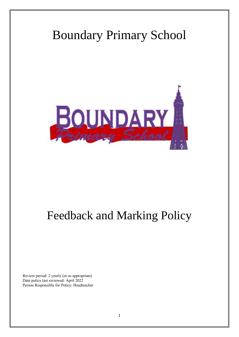# Boundary Primary School



## Feedback and Marking Policy

Review period: 2 yearly (or as appropriate) Date policy last reviewed: April 2022 Person Responsible for Policy: Headteacher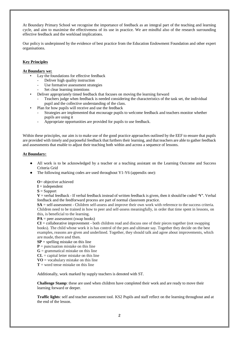At Boundary Primary School we recognise the importance of feedback as an integral part of the teaching and learning cycle, and aim to maximise the effectiveness of its use in practice. We are mindful also of the research surrounding effective feedback and the workload implications.

Our policy is underpinned by the evidence of best practice from the Education Endowment Foundation and other expert organisations.

#### **Key Principles**

#### **At Boundary we:**

- Lay the foundations for effective feedback
	- Deliver high quality instruction
	- Use formative assessment strategies
	- Set clear learning intentions
- Deliver appropriately timed feedback that focuses on moving the learning forward
	- Teachers judge when feedback is needed considering the characteristics of the task set, the individual pupil and the collective understanding of the class.
- Plan for how pupils will receive and use the feedback
	- Strategies are implemented that encourage pupils to welcome feedback and teachers monitor whether pupils are using it
	- Appropriate opportunities are provided for pupils to use feedback.

Within these principles, our aim is to make use of the good practice approaches outlined by the EEF to ensure that pupils are provided with timely and purposeful feedback that furthers their learning, and that teachers are able to gather feedback and assessments that enable to adjust their teaching both within and across a sequence of lessons.

#### **At Boundary:**

- All work is to be acknowledged by a teacher or a teaching assistant on the Learning Outcome and Success Criteria Grid
- The following marking codes are used throughout Y1-Y6 (appendix one):

**O**= objective achieved

- $I =$ independent
- $S =$ Support

 $V =$  verbal feedback - If verbal feedback instead of written feedback is given, then it should be coded  $V'$ . Verbal feedback and the feedforward process are part of normal classroom practice.

**SA** = self-assessment - Children self-assess and improve their own work with reference to the success criteria. Children need to be trained in how to peer and self-assess meaningfully, in order that time spent in lessons, on this, is beneficial to the learning.

 $PA = peer assessment$  (swap books)

**CI** = collaborative improvement - both children read and discuss one of their pieces together (not swapping books). The child whose work it is has control of the pen and ultimate say. Together they decide on the best examples, reasons are given and underlined. Together, they should talk and agree about improvements, which are made, there and then.

- $SP =$  spelling mistake on this line
- $P =$  punctuation mistake on this line
- $G =$  grammatical mistake on this line
- $CL =$  capital letter mistake on this line
- $\mathbf{VO} = \text{vocabulary mistake on this line}$
- $T =$  word tense mistake on this line

Additionally, work marked by supply teachers is denoted with ST.

**Challenge Stamp**: these are used when children have completed their work and are ready to move their learning forward or deeper.

**Traffic lights**: self and teacher assessment tool. KS2 Pupils and staff reflect on the learning throughout and at the end of the lesson.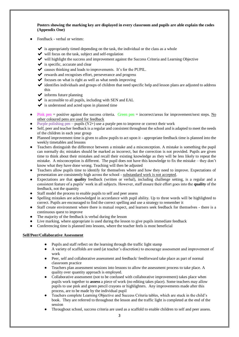**Posters showing the marking key are displayed in every classroom and pupils are able explain the codes (Appendix One)** 

- Feedback verbal or written:
	- $\blacktriangleright$  is appropriately timed depending on the task, the individual or the class as a whole
	- $\blacktriangleright$  will focus on the task, subject and self-regulation
	- ✔ will highlight the success and improvement against the Success Criteria and Learning Objective
	- $\checkmark$  is specific, accurate and clear
	- $\triangleright$  causes thinking and leads to improvements. It's for the PUPIL.
	- ✔ rewards and recognises effort, perseverance and progress
	- $\triangleright$  focuses on what is right as well as what needs improving
	- ✔ identifies individuals and groups of children that need specific help and lesson plans are adjusted to address this
	- $\blacktriangleright$  informs future planning
	- $\blacktriangleright$  is accessible to all pupils, including with SEN and EAL
	- $\checkmark$  is understood and acted upon in planned time
- Pink pen = positive against the success criteria. Green pen = incorrect/areas for improvement/next steps. No other coloured pens are used for feedback
- Purple polishing pen pupils  $(Y2+)$  use a purple pen to improve or correct their work
- Self, peer and teacher feedback is a regular and consistent throughout the school and is adapted to meet the needs of the children in each year group
- Planned improvement time is given to allow pupils to act upon it appropriate feedback time is planned into the weekly timetables and lessons
- Teachers distinguish the difference between a mistake and a misconception. A mistake is something the pupil can normally do; mistakes should be marked as incorrect, but the correction is not provided. Pupils are given time to think about their mistakes and recall their existing knowledge as they will be less likely to repeat the mistake. A misconception is different. The pupil does not have this knowledge to fix the mistake – they don't know what they have done wrong. Teaching will then be adjusted
- Teachers allow pupils time to identify for themselves where and how they need to improve. Expectations of presentation are consistently high across the school - substandard work is not accepted.
- Expectations are that **quality** feedback (written or verbal), including challenge setting, is a regular and a consistent feature of a pupils' work in all subjects. However, staff ensure their effort goes into the **quality** of the feedback, not the quantity
- Staff model the process to enable pupils to self and peer assess
- Spelling mistakes are acknowledged in accordance with pupil ability. Up to three words will be highlighted to correct. Pupils are encouraged to find the correct spelling and use a strategy to remember it
- Staff create environment where there is mutual respect, and learners seek feedback for themselves there is a continuous quest to improve
- The majority of the feedback is verbal during the lesson
- Live marking, where appropriate is used during the lesson to give pupils immediate feedback
- Conferencing time is planned into lessons, where the teacher feels is most beneficial

#### **Self/Peer/Collaborative Assessment**

- Pupils and staff reflect on the learning through the traffic light stamp
- A variety of scaffolds are used (at teacher's discretion) to encourage assessment and improvement of work
- Peer, self and collaborative assessment and feedback/ feedforward take place as part of normal classroom practice
- Teachers plan assessment sessions into lessons to allow the assessment process to take place. A quality over quantity approach is employed.
- Collaborative assessment (not to be confused with collaborative improvement) takes place when pupils work together to **assess** a piece of work (no editing takes place). Some teachers may allow pupils to use pink and green pencil crayons or highlighters. Any improvements made after this process, are to be made by the individual pupil
- Teachers complete Learning Objective and Success Criteria tables, which are stuck in the child's book. They are referred to throughout the lesson and the traffic light is completed at the end of the session
- Throughout school, success criteria are used as a scaffold to enable children to self and peer assess.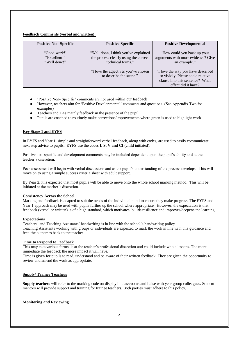#### **Feedback Comments (verbal and written):**

| <b>Positive Non-Specific</b>                 | <b>Positive Specific</b>                                                                           | <b>Positive Developmental</b>                                                                                                     |
|----------------------------------------------|----------------------------------------------------------------------------------------------------|-----------------------------------------------------------------------------------------------------------------------------------|
| "Good work!"<br>"Excellent!"<br>"Well done!" | "Well done, I think you've explained<br>the process clearly using the correct<br>technical terms." | "How could you back up your<br>arguments with more evidence? Give<br>an example."                                                 |
|                                              | "I love the adjectives you've chosen<br>to describe the scene."                                    | "I love the way you have described<br>so vividly. Please add a relative<br>clause into this sentence? What<br>effect did it have? |

- 'Positive Non- Specific' comments are not used within our feedback
- However, teachers aim for 'Positive Developmental' comments and questions. (See Appendix Two for examples)
- Teachers and TAs mainly feedback in the presence of the pupil
- Pupils are coached to routinely make corrections/improvements where green is used to highlight work.

#### **Key Stage 1 and EYFS**

In EYFS and Year 1, simple and straightforward verbal feedback, along with codes, are used to easily communicate next step advice to pupils. EYFS use the codes **I, S, V and CI** (child initiated).

Positive non-specific and development comments may be included dependent upon the pupil's ability and at the teacher's discretion.

Peer assessment will begin with verbal discussions and as the pupil's understanding of the process develops. This will move on to using a simple success criteria sheet with adult support.

By Year 2, it is expected that most pupils will be able to move onto the whole school marking method. This will be initiated at the teacher's discretion.

#### **Consistency Across the School**

Marking and feedback is adapted to suit the needs of the individual pupil to ensure they make progress. The EYFS and Year 1 approach may be used with pupils further up the school where appropriate. However, the expectation is that feedback (verbal or written) is of a high standard, which motivates, builds resilience and improves/deepens the learning.

#### **Expectations**

Teachers' and Teaching Assistants' handwriting is in line with the school's handwriting policy. Teaching Assistants working with groups or individuals are expected to mark the work in line with this guidance and feed the outcomes back to the teacher.

#### **Time to Respond to Feedback**

This may take various forms, is at the teacher's professional discretion and could include whole lessons. The more immediate the feedback the more impact it will have.

Time is given for pupils to read, understand and be aware of their written feedback. They are given the opportunity to review and amend the work as appropriate.

#### **Supply/ Trainee Teachers**

**Supply teachers** will refer to the marking code on display in classrooms and liaise with year group colleagues. Student mentors will provide support and training for trainee teachers. Both parties must adhere to this policy.

#### **Monitoring and Reviewing**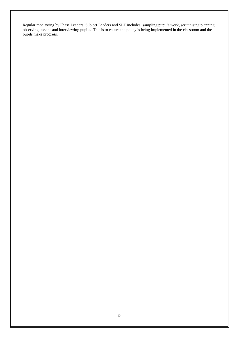Regular monitoring by Phase Leaders, Subject Leaders and SLT includes: sampling pupil's work, scrutinising planning, observing lessons and interviewing pupils. This is to ensure the policy is being implemented in the classroom and the pupils make progress.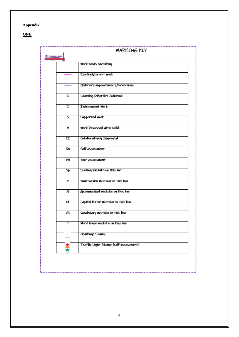## **Appendix**

**ONE** 

|                 |        | <b>MARKING KEY</b>                    |
|-----------------|--------|---------------------------------------|
| <b>BOUNDARY</b> |        |                                       |
|                 |        | Work needs revisiting                 |
|                 |        | Excellent/correct work                |
|                 |        | Childron's improvements/corrections   |
|                 | o      | Loarning Objective Achieved           |
|                 | I      | Indopendent Work                      |
|                 | S      | Supported work                        |
|                 | V      | Work Discussed with Child             |
|                 | CT     | Collaboratively Improved              |
|                 | SA     | Self-assessment                       |
|                 | ΈA     | Poor-assossmont                       |
|                 | Sp     | Spelling mistake on this line         |
|                 | P      | Punctuation mistake on this line      |
|                 | G      | Grammatical mistake on this line      |
|                 | $_{c}$ | Capital letter mistake on this line   |
|                 | VO     | Vocabulary mistake on this line       |
|                 | т      | Word tonso mistake on this line       |
|                 |        | Challongo Stamp                       |
|                 |        | Traffic Light Stamp (sclf-assessment) |
|                 |        |                                       |